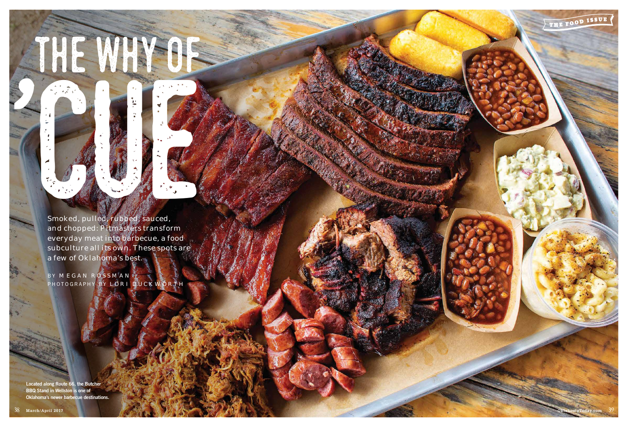

Located along Route 66, the Butcher BBQ Stand in Wellston is one of Oklahoma's newer barbecue destinations.

THE WHY OF

Smoked, pulled, rubbed, sauced, and chopped: Pitmasters transform everyday meat into barbecue, a food subculture all its own. These spots are a few of Oklahoma's best.

BY MEGAN ROSSMAN T PHOTOGRAPHY BY LORI DUCKWORTH